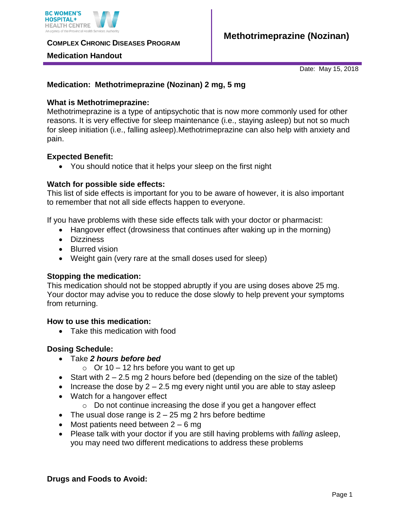

**COMPLEX CHRONIC DISEASES PROGRAM** 

#### **Medication Handout**

Date: May 15, 2018

# **Medication: Methotrimeprazine (Nozinan) 2 mg, 5 mg**

## **What is Methotrimeprazine:**

Methotrimeprazine is a type of antipsychotic that is now more commonly used for other reasons. It is very effective for sleep maintenance (i.e., staying asleep) but not so much for sleep initiation (i.e., falling asleep).Methotrimeprazine can also help with anxiety and pain.

## **Expected Benefit:**

You should notice that it helps your sleep on the first night

## **Watch for possible side effects:**

This list of side effects is important for you to be aware of however, it is also important to remember that not all side effects happen to everyone.

If you have problems with these side effects talk with your doctor or pharmacist:

- Hangover effect (drowsiness that continues after waking up in the morning)
- Dizziness
- Blurred vision
- Weight gain (very rare at the small doses used for sleep)

## **Stopping the medication:**

This medication should not be stopped abruptly if you are using doses above 25 mg. Your doctor may advise you to reduce the dose slowly to help prevent your symptoms from returning.

## **How to use this medication:**

Take this medication with food

## **Dosing Schedule:**

- Take *2 hours before bed*
	- $\circ$  Or 10 12 hrs before you want to get up
- Start with  $2 2.5$  mg 2 hours before bed (depending on the size of the tablet)
- Increase the dose by  $2 2.5$  mg every night until you are able to stay asleep
- Watch for a hangover effect
	- o Do not continue increasing the dose if you get a hangover effect
- The usual dose range is  $2 25$  mg 2 hrs before bedtime
- $\bullet$  Most patients need between 2 6 mg
- Please talk with your doctor if you are still having problems with *falling* asleep, you may need two different medications to address these problems

**Drugs and Foods to Avoid:**